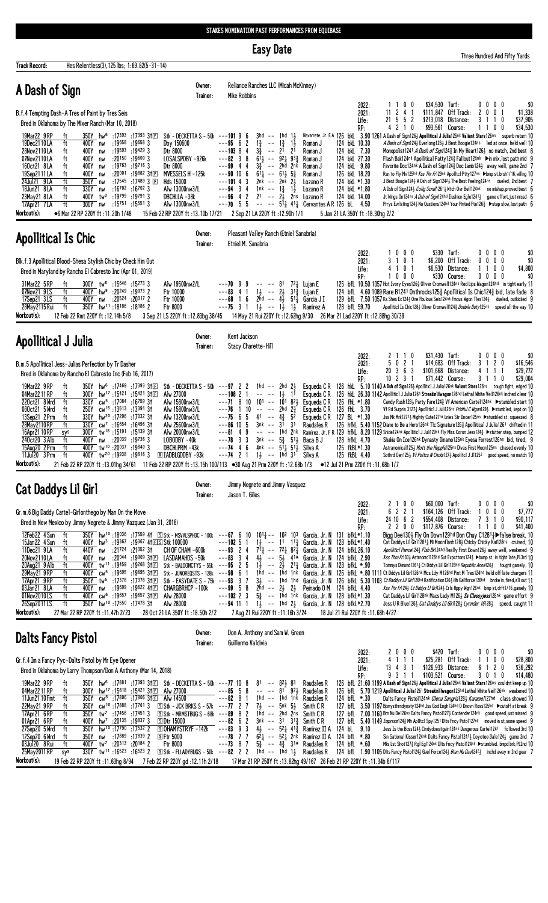Easy Date

dred And Fifty Yards

| Track Record:                                                                                                                                                                                           | Hes Relentless(3), 125 lbs; 1:69.82(5-31-14)                                                                                                                                                                                                                                                                                             |                                                                                                                                                                                                                                                                                                                                                                                                 |                                                                                                                                                                                                                                                                                                                                                                                                                                                                                                                                                                |                                                                                                                               |                                                                                                                                                                                                                                |                                                                                                                                                                                                                                                                |                                                                                                                                                                                                                                                                                                                                                                                                                                                                                                                                                                                                                           |                                                                                                                                                                                                                                                                                                |                                |                                                                                                                                                                                                                                                                                                                                                                                                                                                                                                                                                                                                                                 |                                                             |                                                                                                                                                                                                                                                                                                                                                                                                                                                                                                                                                                                                                                                                                                                                                    |                                                                 |                                                  |                                                              |                                         |
|---------------------------------------------------------------------------------------------------------------------------------------------------------------------------------------------------------|------------------------------------------------------------------------------------------------------------------------------------------------------------------------------------------------------------------------------------------------------------------------------------------------------------------------------------------|-------------------------------------------------------------------------------------------------------------------------------------------------------------------------------------------------------------------------------------------------------------------------------------------------------------------------------------------------------------------------------------------------|----------------------------------------------------------------------------------------------------------------------------------------------------------------------------------------------------------------------------------------------------------------------------------------------------------------------------------------------------------------------------------------------------------------------------------------------------------------------------------------------------------------------------------------------------------------|-------------------------------------------------------------------------------------------------------------------------------|--------------------------------------------------------------------------------------------------------------------------------------------------------------------------------------------------------------------------------|----------------------------------------------------------------------------------------------------------------------------------------------------------------------------------------------------------------------------------------------------------------|---------------------------------------------------------------------------------------------------------------------------------------------------------------------------------------------------------------------------------------------------------------------------------------------------------------------------------------------------------------------------------------------------------------------------------------------------------------------------------------------------------------------------------------------------------------------------------------------------------------------------|------------------------------------------------------------------------------------------------------------------------------------------------------------------------------------------------------------------------------------------------------------------------------------------------|--------------------------------|---------------------------------------------------------------------------------------------------------------------------------------------------------------------------------------------------------------------------------------------------------------------------------------------------------------------------------------------------------------------------------------------------------------------------------------------------------------------------------------------------------------------------------------------------------------------------------------------------------------------------------|-------------------------------------------------------------|----------------------------------------------------------------------------------------------------------------------------------------------------------------------------------------------------------------------------------------------------------------------------------------------------------------------------------------------------------------------------------------------------------------------------------------------------------------------------------------------------------------------------------------------------------------------------------------------------------------------------------------------------------------------------------------------------------------------------------------------------|-----------------------------------------------------------------|--------------------------------------------------|--------------------------------------------------------------|-----------------------------------------|
| A Dash of Sign                                                                                                                                                                                          |                                                                                                                                                                                                                                                                                                                                          |                                                                                                                                                                                                                                                                                                                                                                                                 | Owner:<br>Trainer:                                                                                                                                                                                                                                                                                                                                                                                                                                                                                                                                             |                                                                                                                               | Reliance Ranches LLC (Micah McKinney)<br><b>Mike Robbins</b>                                                                                                                                                                   |                                                                                                                                                                                                                                                                |                                                                                                                                                                                                                                                                                                                                                                                                                                                                                                                                                                                                                           |                                                                                                                                                                                                                                                                                                |                                |                                                                                                                                                                                                                                                                                                                                                                                                                                                                                                                                                                                                                                 |                                                             |                                                                                                                                                                                                                                                                                                                                                                                                                                                                                                                                                                                                                                                                                                                                                    |                                                                 |                                                  |                                                              |                                         |
|                                                                                                                                                                                                         | B.f.4 Tempting Dash-A Tres of Paint by Tres Seis<br>Bred in Oklahoma by The Mixer Ranch (Mar 10, 2018)                                                                                                                                                                                                                                   |                                                                                                                                                                                                                                                                                                                                                                                                 |                                                                                                                                                                                                                                                                                                                                                                                                                                                                                                                                                                |                                                                                                                               |                                                                                                                                                                                                                                |                                                                                                                                                                                                                                                                |                                                                                                                                                                                                                                                                                                                                                                                                                                                                                                                                                                                                                           |                                                                                                                                                                                                                                                                                                | 2022:<br>2021:<br>Life:<br>RP: | 11                                                                                                                                                                                                                                                                                                                                                                                                                                                                                                                                                                                                                              | 100<br>2 <sub>4</sub><br>- 1<br>$21 \t5 \t5 \t2$<br>4 2 1 0 | \$34,530 Turf:                                                                                                                                                                                                                                                                                                                                                                                                                                                                                                                                                                                                                                                                                                                                     | \$111,847 Off Track:<br>\$213,018 Distance:<br>\$93,561 Course: | $0\quad 0$<br>$\mathbf{2}$<br>0<br>3<br>11       | $0\quad 0$<br>0<br>110<br>0<br>0                             | \$0<br>\$1,338<br>\$37,905<br>\$34,530  |
| 19Mar22 9 RP<br>19Dec2110LA<br>28Nov2110LA<br>07Nov2110LA<br>160ct21 8LA<br>19Sep2111LA<br>24Jul21 9 LA<br>18Jun21 8LA<br>23May21 8LA<br>17Apr21 7 LA<br>Workout(s):                                    | 350Y hw <sup>6</sup><br>ft<br>ft<br>400Y<br>nw<br>400Y<br>ft<br>nw<br>400Y<br>ft<br>nw<br>ft<br>400Y<br>nw<br>400Y<br>ft<br>nw<br>ft<br>350Y<br>nw<br>ft<br>330Y nw<br>ft<br>400Y<br>tw <sup>2</sup><br>ft<br>300Y nw<br>●6 Mar 22 RP 220Y ft:11.20h 1/48                                                                                | :17393 :17393 3†⊡<br>$:19658$ $:196583$<br>$:19593$ $:194293$<br>$:20150$ $:196003$<br>:19763 :19716 3<br>$:20^{001}$ $:19^{882}$ 3†FI<br>:17545<br>:17489 3 $E$<br>$:16702$ $:167023$<br>:19799 .19791 3<br>$:15^{751}:15^{551}$ 3                                                                                                                                                             | Stk - DECKETTA S - 50k ---101 9 6<br>Dby 150600<br>Dtr 8000<br>LOSALSPDBY -926k<br>Dtr 8000<br>MVESSELS H -125k<br>Hds 15000<br>Alw 13000nw3/L<br>DBCHLLA -38k<br>Alw 13000nw3/L<br>15 Feb 22 RP 220Y ft: 13.10b 17/21                                                                                                                                                                                                                                                                                                                                         | $---95$ 6 2<br>$---103$ 8 4<br>$---82$ 3 8<br>$---99$ 4 4<br>$---90$ 10 6<br>---101 4<br>$--94$ 3 4<br>$---964$<br>$--70$ 5 5 | $1\frac{3}{4}$<br>$ -$<br>$3\frac{3}{4}$<br>$\sim$ $\sim$<br>$3\frac{3}{4}$<br>$61\frac{1}{4}$ -- $61\frac{1}{2}$<br>3<br>2nk<br>1nk -- 1 $\frac{3}{4}$<br>$\overline{c}$<br>2 <sup>1</sup><br>2 Sep 21 LA 220Y ft: 12.90h 1/1 | $3hd$ -- 1hd 1 $\frac{1}{2}$<br>$1\overline{1}$<br>$1\frac{3}{4}$<br>2 <sup>1</sup><br>21<br>$61\frac{1}{2}$ -- $92\frac{1}{4}$ $93\frac{3}{4}$<br>$--$ 2hd<br>2nk<br>$5\frac{3}{4}$<br>$2\frac{1}{2}$<br>-- 2nk<br>$1\frac{1}{2}$<br>$-- 2\frac{1}{2}$<br>2ns | Roman J<br>Roman J<br>Roman J<br>Roman J<br>Roman J<br>Lozano R<br>Lozano R<br>Lozano R<br>$--- 5^{11}_{4}$ 41 <sup>1</sup> / <sub>4</sub> Cervantes A R 126 bL 4.50                                                                                                                                                                                                                                                                                                                                                                                                                                                      | Navarrete, Jr. E A 126 bkl 3.90 1261 A Dash of Sign126} Apollitical J Julia126nk Valiant Stars126ns superb return 10<br>124 bkL 10.30<br>124 bkL 7.30<br>124 bkL 27.30<br>124 bkL 9.80<br>126 bkL 18.20<br>124 bkL *1.30<br>124 bkL *1.80<br>124 bkL 14.00<br>5 Jan 21 LA 350Y ft: 18.30hg 2/2 |                                |                                                                                                                                                                                                                                                                                                                                                                                                                                                                                                                                                                                                                                 |                                                             | A Dash of Sign124} Everlong126} J Best Boogie124ns led at once, held well 10<br>Monopolist1241 A Dash of Sign1243 In My Heart1263 no match, 2nd best 8<br>Flash Bak124nk Apollitical Patty1243 Fallout124nk ▶in mix, lost path mid 9<br>Favorite Doc124nk A Dash of Sign1243 Doc Lamb1243 away well, game 2nd 7<br>Rsn to Fly Mv125hd Kss Thr Fr129nk Apolltcl Ptty127ns ▶bmp st,brsh1/16,willng 10<br>J Best Boogie 1243 A Dsh of Sign12423 The Best Feeling 124ns dueled, 2nd best 7<br>A Dsh of Sign124} Collg Scnd/1261} Witch Ovr Bell124nk no mishap, proved best 6<br>Jt Wings On124ns A Dsh of Sign124hd Ilushion Egle12413 game effort, just missd 6<br>Prrys Evrlsting124½ No Qustions124hd Your Pinted Fte126½ ▶ step slow, lost path 6 |                                                                 |                                                  |                                                              |                                         |
| <b>Apollitical Is Chic</b>                                                                                                                                                                              |                                                                                                                                                                                                                                                                                                                                          |                                                                                                                                                                                                                                                                                                                                                                                                 | Owner:<br>Trainer:                                                                                                                                                                                                                                                                                                                                                                                                                                                                                                                                             |                                                                                                                               | Pleasant Valley Ranch (Etniel Sanabria)<br>Etniel M. Sanabria                                                                                                                                                                  |                                                                                                                                                                                                                                                                |                                                                                                                                                                                                                                                                                                                                                                                                                                                                                                                                                                                                                           |                                                                                                                                                                                                                                                                                                |                                |                                                                                                                                                                                                                                                                                                                                                                                                                                                                                                                                                                                                                                 |                                                             |                                                                                                                                                                                                                                                                                                                                                                                                                                                                                                                                                                                                                                                                                                                                                    |                                                                 |                                                  |                                                              |                                         |
| 31Mar22 5 RP<br>07Nov21 9LS<br>17Sep21 3LS<br>28May 2115 Rui<br>Workout(s):                                                                                                                             | Blk.f.3 Apollitical Blood-Shesa Stylish Chic by Check Him Out<br>Bred in Maryland by Rancho El Cabresto Inc (Apr 01, 2019)<br>300Y tw <sup>6</sup> :15646 :15273 3<br>ft<br>400Y hw <sup>9</sup> :20249 :19973 2<br>ft<br>ft<br>400Y nw<br>$\overline{t}$<br>350Y hw <sup>11</sup> :18186 :18186 2<br>12 Feb 22 Rmt 220Y ft : 12.14h 5/8 | :20 <sup>524</sup> :20 <sup>317</sup> 2                                                                                                                                                                                                                                                                                                                                                         | Alw 19500nw2/L<br>Ftr 10000<br>Ftr 10000<br>Ftr 8000<br>3 Sep 21 LS 220Y ft: 12.83bg 38/45                                                                                                                                                                                                                                                                                                                                                                                                                                                                     | $---7099$<br>$--83$ 4 1<br>$---68$ 1 6                                                                                        | $--- 81$<br>$---75$ 3 1 $1\frac{1}{2}$ $---1\frac{1}{2}$<br>14 May 21 Rui 220Y ft : 12.62hg 9/30                                                                                                                               | 2hd -- $4\overline{3}$ 51 $\overline{4}$<br>$1\frac{1}{2}$                                                                                                                                                                                                     | $72$ Lujan E<br>$1\frac{1}{2}$ -- $2\frac{1}{2}$ $3^{1\frac{3}{4}}$ Lujan E<br>Garcia J I<br>Ramirez A                                                                                                                                                                                                                                                                                                                                                                                                                                                                                                                    | 128 bfL 59.70<br>26 Mar 21 Lad 220Y ft: 12.88hg 30/39                                                                                                                                                                                                                                          | 2022:<br>2021:<br>Life:<br>RP: | 125 bfL 10.50 1057 Hot Ivory Eyes1263 Oliver Cromwell124nk Red Lips Wagon124hd in tight early 11<br>124 bfl 4.60 1089 Rare B1241 Onthrocks1253 Apollitical Is Chic1243 bid, late fade 8<br>129 bfl. 7.50 1057 Ks Shes Ec124} One Fbulous Seis124nk Fmous Wgon Tles124} dueled, outkicked 9                                                                                                                                                                                                                                                                                                                                      | 1000<br>3 1 0 1<br>4 1 0 1<br>$0\ 0\ 0$                     | \$6,200<br>Apolliticl Is Chic1283 Oliver Cromwell1243 Double Duty125nk speed all the way 10                                                                                                                                                                                                                                                                                                                                                                                                                                                                                                                                                                                                                                                        | \$330 Turf:<br>Off Track:<br>\$6,530 Distance:<br>\$330 Course: | $0\quad 0$<br>0<br>0<br>1 <sup>1</sup><br>0<br>0 | $0\quad 0$<br>0 <sub>0</sub><br>0 <sub>0</sub><br>$0\quad 0$ | \$0<br>\$0<br>\$4,800<br>\$0            |
| Apollitical J Julia                                                                                                                                                                                     |                                                                                                                                                                                                                                                                                                                                          |                                                                                                                                                                                                                                                                                                                                                                                                 | Owner:<br>Trainer:                                                                                                                                                                                                                                                                                                                                                                                                                                                                                                                                             |                                                                                                                               | Kent Jackson<br>Stacy Charette-Hill                                                                                                                                                                                            |                                                                                                                                                                                                                                                                |                                                                                                                                                                                                                                                                                                                                                                                                                                                                                                                                                                                                                           |                                                                                                                                                                                                                                                                                                |                                |                                                                                                                                                                                                                                                                                                                                                                                                                                                                                                                                                                                                                                 |                                                             |                                                                                                                                                                                                                                                                                                                                                                                                                                                                                                                                                                                                                                                                                                                                                    |                                                                 |                                                  |                                                              |                                         |
| 19Mar22 9 RP<br>04Mar2211RP<br>220ct21 8 Wrd<br>080ct21 5 Wrd<br>13Sep21 2 Prm<br>28May 2110 RP<br>16Apr21 10 RP<br>240ct20 3 Alb<br>15Aug20 2 Prm<br>$11$ Jul $20$ $3$ $\overline{Prm}$<br>Workout(s): | B.m.5 Apollitical Jess-Julias Perfection by Tr Dasher<br>Bred in Oklahoma by Rancho El Cabresto Inc (Feb 16, 2017)<br>ft<br>ft<br>300Y<br>ft<br>250Y<br>ft<br>ft<br>330Y<br>ft<br>330Y<br>300Y<br>sys<br>ft<br>400Y<br>nw<br>ft<br>400Y<br>ft                                                                                            | 350Y hw <sup>6</sup> :17469 :17393 31ED<br>hw <sup>17</sup> :15421:1542131E<br>330Y cw <sup>5</sup> :17084 :16759 31<br>cw <sup>15</sup> :13513:1339131<br>hw <sup>20</sup> :17296 :17032 3t<br>cw <sup>7</sup> :16654 :16496 31<br>tw <sup>18</sup> :15 <sup>191</sup> :15 <sup>139</sup> 31<br>:20039 :19736 3<br>tw <sup>10</sup> :20 <sup>037</sup> :198403<br>19816 3 19938 19816          | Stk - DECKETTA S - $50k$ --- $97$ 2 2<br>Alw 27000<br>Alw 15800nw3/L<br>Alw 15800nw3/L<br>Alw 13200nw3/L<br>Alw 25600nw3/L<br>Alw 20000nw3/L<br>LOBODBY-40k<br>DBCHLPRM-43k<br><b>RE IADBLGDDBY -93k</b><br>11.68b 1/7 = 12 Jul 21 Prm 220Y ft (13.01hg 34/61 11 Feb 22 RP 220Y ft (13.15h 100/113 = 30 Aug 21 Prm 220Y ft (16.68b 1/3 = 12 Jul 21 Prm 220Y ft (11.68b 1/7                                                                                                                                                                                     | $---108$ 2 1<br>$---718$<br>$---76$ 1<br>$---75$ 6 5<br>$---86$ 10 5<br>4<br>---81<br>---78<br>-3<br>$---74$ 4<br>$---74$ 2 1 | $\rightarrow$ $\rightarrow$ $\rightarrow$ $\rightarrow$<br>10<br>10<br>$41 - - 4\frac{3}{4}$<br>$3nk - 31$<br>9<br>3<br>$3nk - 5\frac{3}{4}$<br>6                                                                              | 1hd -- 2hd $2\frac{1}{2}$<br>11<br>$1\frac{1}{2}$<br>$101 - 10182\frac{1}{2}$<br>$---$ 2hd $2\frac{3}{4}$<br>5 <sup>2</sup><br>3 <sup>1</sup><br>1hd 2nk<br>511<br>4nk -- $5^{11}$ $5^{11}$<br>$1\frac{1}{2}$ -- 1hd 31                                        | Esqueda C R<br>Esqueda C R<br>Esqueda C R<br>Esqueda C R<br>Esqueda C R<br>Raudales R<br>Baca B J<br>Silva A<br>Silva A                                                                                                                                                                                                                                                                                                                                                                                                                                                                                                   | 126 fhL *1.80<br>126 fhL 3.70<br>127 BL *1.30<br>Ramirez, Jr. FR 129 hfkl. 8.20 1129 Snide124nk Apollitic1 J Juli129nk Fly Miss Coron Jess1243 >stutter step, bumped 12<br>128 hfkL 4.70<br>125 fkBL*1.30<br>125 fkBL 4.40                                                                     | 2022:<br>2021:<br>Life:<br>RP: | 5<br>20<br>$10$ 2 3 1<br>126 hkl 5.10 1140 A Dsh of Sign126} Apolliticl J Julia126nk Valiant Stars 126ns tough fight, edged 10<br>126 hkl 26.30 1142 Apolliticl J Julia1261 Streakinlilwagon126hd Lethal White Veil126nk inched clear 10<br>126 hfkl. 5.40 1152 Diane to Be a Hero126 <sup>nk</sup> Tlc Signature126 <sup>3</sup> Apollitical J Julia126 <sup>1</sup> drifted in 11                                                                                                                                                                                                                                             | 2 1 1 0<br>021<br>3 6 3                                     | \$31,430 Turf:<br>\$14,683<br>\$101,668<br>Candy Rush1283 Party Fare1243 Vf American Carte1124nk ▶ stumbled start 10<br>Vf Rd Surpris 3127½ Apolliticl J Juli126ns Pridful C Wgon129½ ▶ stumbled, kept on 10<br>Jss Mk Mrk1271, Mighty Cute127nk Lnies Str Dncer125ns ▶ stumbled st, squeezed 8<br>Shakia On Ice126nk Dynasty Dinamo126nk Eyesa Forrest126ns bid, tired, 9<br>Astranomical1253 Mott the Hopple125ns Divas First Moon125ns chased evenly 10<br>Sothrd Qen125} Vf Poltcs N Chcks127} Apol1tcl J J11252 good speed, no match 10                                                                                                                                                                                                       | Off Track:<br>Distance:<br>\$71,442 Course:                     | 411<br>311                                       | $0\,0\,0\,0$<br>3 1 2 0<br>0                                 | \$0<br>\$16,546<br>\$29,772<br>\$29,004 |
| <b>Cat Daddys Lil Girl</b>                                                                                                                                                                              |                                                                                                                                                                                                                                                                                                                                          |                                                                                                                                                                                                                                                                                                                                                                                                 | Owner:<br>Trainer:                                                                                                                                                                                                                                                                                                                                                                                                                                                                                                                                             |                                                                                                                               | Jimmy Negrete and Jimmy Vasquez<br>Jason T. Giles                                                                                                                                                                              |                                                                                                                                                                                                                                                                |                                                                                                                                                                                                                                                                                                                                                                                                                                                                                                                                                                                                                           |                                                                                                                                                                                                                                                                                                |                                |                                                                                                                                                                                                                                                                                                                                                                                                                                                                                                                                                                                                                                 |                                                             |                                                                                                                                                                                                                                                                                                                                                                                                                                                                                                                                                                                                                                                                                                                                                    |                                                                 |                                                  |                                                              |                                         |
| 12Feb22 4 Sun<br>15Jan22 4 Sun<br>11Dec21 9LA<br>20Nov2110LA<br>20Aug21 9 Alb<br>29May21 9RP<br>17Apr21 9RP<br>03Jan21 8LA<br>01Nov2010LS<br>26Sep2011LS<br>Workout(s):                                 | Gr.m.6 Big Daddy Cartel-Girlonthego by Man On the Move<br>Bred in New Mexico by Jimmy Negrete & Jimmy Vazquez (Jan 31, 2016)<br>ft<br>ft<br>ft<br>440Y nw<br>ft<br>400Y<br>nw<br>ft<br>ft<br>ft<br>ft<br>400Y nw<br>ft<br>ft<br>27 Mar 22 RP 220Y ft:11.47h 2/23                                                                         | 400Y hw <sup>3</sup> :19367 :19367 41ES Stk 100000<br>:21 <sup>724</sup> :21 <sup>352</sup> 31<br>:20044 :19909 3↑⊡<br>400Y tw <sup>11</sup> :19459 :19268 31E<br>400Y cw <sup>5</sup> :19695 :19695 3†冝<br>350Y tw <sup>5</sup> :17378 :17378 31E<br>:19 <sup>699</sup> :19 <sup>622</sup> 41回<br>400Y cw <sup>6</sup> :19657 :19657 3†回<br>350Y hw <sup>10</sup> :17 <sup>550</sup> :17478.31 | 350Y hw <sup>10</sup> :18 <sup>036</sup> :17559 41 SStk-MSVALSPHDC-100k --- <b>67</b> 6 10 1011 -- 102 103 Garcia, Jr. N 131 bfkL*1.10<br>CH OF CHAM -600k<br>LASDAMAHDS -50k<br>Stk - BALOONCTYS - 55k ---95 2 5<br>Stk - JUNOREQSTS - 128k $-$ -98 6 1<br>Stk - EASYDATE S - 75k ---93 3 7<br>CHARGBRHCP -100k<br>Alw 28000<br>Alw 28000<br>28 Oct 21 LA 350Y ft: 18.50h 2/2                                                                                                                                                                                 | $---10251$<br>$---93$ 2 4<br>$---83$ 3 4<br>$---99 5 8$<br>$---102$ 2 3                                                       | ---94 11 1 $1\frac{1}{2}$ -- 1hd 2 $\frac{1}{2}$ Garcia, Jr. N 128 bfkL *2.70<br>7 Aug 21 Rui 220Y ft: 11.16h 3/24                                                                                                             | $2hd$ -- $212$ $212$                                                                                                                                                                                                                                           | $1\frac{1}{2}$ -- 11 11 <sub>4</sub> Garcia, Jr. N 128 bfkL *1.40<br>$7^{13}$ -- $7^{21}$ $8^{21}$ Garcia, Jr. N 124 bfkl 26.10<br>$4\frac{1}{2}$ -- $5\frac{1}{2}$ $41*$ Garcia, Jr. N 124 bfkl 2.90<br>$1\frac{1}{2}$ -- $2\frac{1}{2}$ 2 <sup>1</sup> Garcia, Jr. N 128 bfkL *.90<br>16 -- 1hd 1nk Garcia, Jr. N 126 bfkl *.80 1111 Ct Dddys Lil Girl126nk Mcs Ldy M126hd Pint M Tres124hd held off late chargers 11<br>3} -- 1hd 1hd Garcia, Jr. N 126 bfkl 5.30 1103 Ct Daddys Lil Girl126hd Ratification1263 Hh Gailforce126hd broke in, fired, all out 11<br>$5\frac{3}{4}$ -- 1hd 1nk Garcia, Jr. N 128 bfkL*1.30 | Peinado 0 M 124 bfkL 4.40<br>18 Jul 21 Rui 220Y ft: 11.68h 4/27                                                                                                                                                                                                                                | 2022:<br>2021:<br>Life:<br>RP: |                                                                                                                                                                                                                                                                                                                                                                                                                                                                                                                                                                                                                                 | 2100<br>6 2 2 1<br>24 10 6 2<br>2200                        | \$60,000 Turf:<br>\$117,876 Course:<br>Bigg Dee130 Hy On Down129hd Don Chuy C1281 }▶ false break, 10<br>Cat Daddys Lil Girl12811 Mi Moonflash1281 Chicky Chicky Kai128ns cruised, 10<br>Apolliticl Pence1243 Flsh BK124hd Really First Down1263 away well, weakened 9<br>Kss Thru Fr130} Astrnomc1126hd Sut Expcttons124} ▶bump st, in tight late, PL3rd 10<br>Tommys Dimond12611 Ct Dddys Lil Girl128hd Republic Annel 261 fought gamely, 10<br>Kss Thr Fr124} Ct Dddys Ll Gr/124} Crls Hppy Wgn126nk bmp st, drft1/16, gamely 10<br>Cat Daddys Lil Girl128nk Macs Lady M1263 Ss Classy jess128nk game effort 9<br>Jess UR Blue126} Cat Daddys Lil Girn 28} Lynnder 16128} speed, caught 11                                                       | \$164,126 Off Track:<br>\$554,408 Distance:                     | 10<br>73                                         | 0000<br>0 <sub>0</sub><br>$\overline{1}$<br>0<br>1100        | \$0<br>\$7,777<br>\$90,117<br>\$41,400  |
| <b>Dalts Fancy Pistol</b>                                                                                                                                                                               |                                                                                                                                                                                                                                                                                                                                          |                                                                                                                                                                                                                                                                                                                                                                                                 | Owner:<br>Trainer:                                                                                                                                                                                                                                                                                                                                                                                                                                                                                                                                             |                                                                                                                               | Don A. Anthony and Sam W. Green<br>Guillermo Valdivia                                                                                                                                                                          |                                                                                                                                                                                                                                                                |                                                                                                                                                                                                                                                                                                                                                                                                                                                                                                                                                                                                                           |                                                                                                                                                                                                                                                                                                | 2022:                          |                                                                                                                                                                                                                                                                                                                                                                                                                                                                                                                                                                                                                                 | 2000                                                        |                                                                                                                                                                                                                                                                                                                                                                                                                                                                                                                                                                                                                                                                                                                                                    | \$420 Turf:                                                     |                                                  | $0\,0\,0\,0$                                                 | \$0                                     |
| 19Mar22 9 RP<br>04Mar2211RP<br>11Jun21 10 Fmt<br>22May21 9RP<br>17Apr21 6RP<br>01Apr21 6RP<br>27Sep20 5 Wrd<br>12Sep20 6 Wrd<br>03Jul20 8 Rui<br>25May 2011 RP<br>Workout(s):                           | Gr.f.4 Im a Fancy Pyc-Dalts Pistol by Mr Eye Opener<br>Bred in Oklahoma by Larry Thompson/Don A Anthony (Mar 14, 2018)<br>ft<br>ft<br>300Y<br>ft<br>350Y<br>350Y<br>ft<br>ft<br>$350Y$ tw <sup>7</sup> :17456 :17451 3<br>ft<br>400Y<br>ft<br>350Y<br>ft<br>ft<br>sys                                                                    | hw <sup>17</sup> :15818 :15421 31E<br>CW <sup>8</sup> :17806 :17806 3†⊞<br>cw <sup>10</sup> :17888:177613<br>hw <sup>7</sup> :20 <sup>135</sup> :19837 3<br>hw <sup>10</sup> :17 <sup>790</sup> :17 <sup>532</sup> 2<br>350Y nw :17889 :17839 2<br>400Y tw <sup>7</sup> :20 <sup>313</sup> :20 <sup>184</sup> 2                                                                                 | 350Y hw <sup>6</sup> :17881 :17393 31El Stk - DECKETTA S - 50k --- <b>77</b> 10 8<br>Alw 27000<br>Alw 14500<br>S Stk - JCK BRKS S - 57k ---77 2 7<br>$S$ Stk - MRMSTBUG S - 68k ---89 8 2<br><b>SDtr 15000</b><br><b>SOHAMYSTRYF-142k</b><br><b>SFtr 5000</b><br>Ftr 8000<br>$\overline{330Y}$ tw <sup>11</sup> :16 <sup>523</sup> :16 <sup>523</sup> 2 SStk - FLLADYBUGS - 50k --- <b>82</b> 2 2 1hd -- 1hd 13<br>19 Feb 22 RP 220Y ft :11.63hg 8/94 7 Feb 22 RP 220Y gd :12.11h 2/18 17 Mar 21 RP 250Y ft :13.82hg 49/167 26 Feb 21 RP 220Y ft :11.34b 6/117 | $--85$ 5 8<br>$---82$ 8 1<br>$---82$ 6 2<br>$- -83993$<br>$---78$ 7 7<br>$---73$ 8 7                                          |                                                                                                                                                                                                                                | $81 - 82\frac{1}{2}83$<br>$-- -81$ 921<br>$7\frac{1}{2}$ -- 5nk $5\frac{1}{2}$<br>1hd -- 2hd 2ns<br>$4\frac{1}{2}$ -- $52\frac{1}{4}$ $41\frac{3}{4}$                                                                                                          | Raudales R<br>Raudelas R<br>1hd $-$ 1hd 1nk Raudales R<br>Smith C R<br>Smith C R<br>$3nk$ -- $31$ $31\frac{3}{4}$ Smith CR<br>$6^2\frac{1}{4}$ -- $5^2\frac{1}{4}$ 2nk Ramirez II A<br>$5\frac{3}{4}$ -- $4\frac{3}{4}$ 31* Raudales R<br>Raudales R                                                                                                                                                                                                                                                                                                                                                                      | 124 bfL *.30<br>Ramirez II A 124 bL 9.10<br>124 bfL *.80<br>124 bfL *.60                                                                                                                                                                                                                       | 2021:<br>Life:<br>RP:          | 126 bfl 21.60 1199 A Dash of Sign1263 Apollitical J Julia126nk Valiant Stars126ns couldnt keep up 10<br>126 bfL 5.70 1219 Apollitical J Julia1261 Streakinlilwagon126hd Lethal White Veil126nk weakened 10<br>127 bfL 3.50 1197 Bpmysthrndynsty124hd Jss God Engh124hd 0 Dnovn Ross125hd > cutoff at break 9<br>127 bfL 7.00 1160 Brn Nu De126ns Dalts Fancy Pistol1273 Contender124nk good speed, just missed 9<br>127 bfL 5.40 1149 Emprssm1243 Mh Apl1tcl Spy1251 Dlts Fncy Psto1127nk moved in st, some speed 9<br>124 bfL 1.90 1105 Dlts Fancy Pisto1124½ Gael Force124½ <i>Bran Nu Dae</i> 1242½ inchd away in 2nd gear 7 | 4 1 1 1<br>13 4 3 1<br>9311                                 | \$103,521 Course:<br>Dalts Fancy Pistol124nk Olena Sangria1283 Karame/127hd class showed 10<br>Jess Is the Boss1243 Cindydoesitgain124nk Dangerous Cartel1241 followed 3rd 10<br>Sin Sational Kisser124nk Dalts Fancy Pistol12413 Coyotee Dale1243 game 2nd 7<br>Mks Lst Shot127½ Rg1 Eg1124nk D1ts Fncy Pisto1124nk ▶stumbled, bmpd brk, PL2nd 10                                                                                                                                                                                                                                                                                                                                                                                                 | \$25,281 Off Track:<br>\$126,933 Distance:                      | 301                                              | 1100<br>6 1 2 0<br>0                                         | \$28,800<br>\$36,292<br>\$14,480        |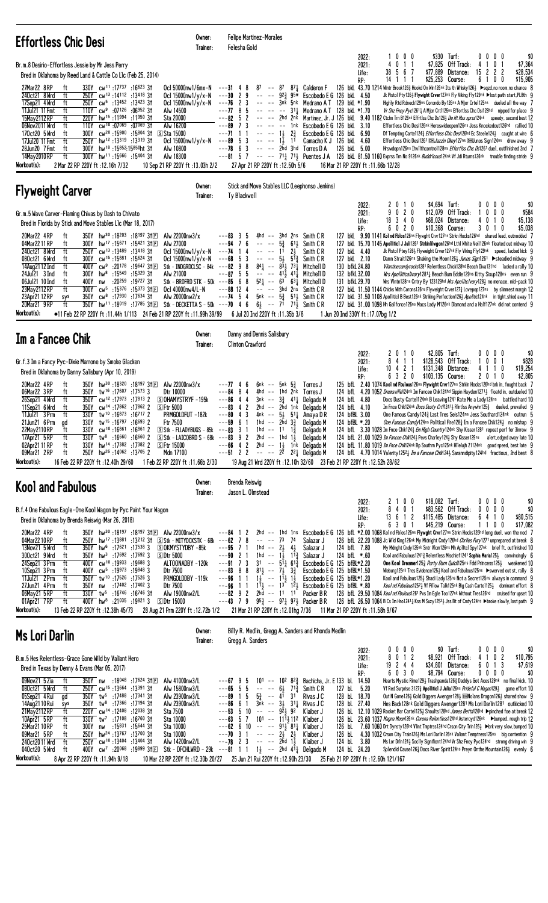| <b>Effortless Chic Desi</b>                                                                                                                                                                                                                                                                                                                                                                                                                                                                                                                                                                                                                                                                                                                                                                                                                                                                                                                                                                                                                                                                                  | Owner:<br>Trainer:                                                                                                                                                                   | Felipe Martinez-Morales<br>Felesha Gold                                                                                                                                                                                                                                                                                                                                  |                                                                                                                                                                                                                                                                                                                                                                             |                                                                                                                                                                                                                                                                                                              |                                        |                                             |                                                                                      |                                                                                                                                                                                                                                                                                                                                                                                                                                                                                                                                                                                                                                                                                                                                                                                                                                                                                                                                                                                                                                                                                                                                                                         |
|--------------------------------------------------------------------------------------------------------------------------------------------------------------------------------------------------------------------------------------------------------------------------------------------------------------------------------------------------------------------------------------------------------------------------------------------------------------------------------------------------------------------------------------------------------------------------------------------------------------------------------------------------------------------------------------------------------------------------------------------------------------------------------------------------------------------------------------------------------------------------------------------------------------------------------------------------------------------------------------------------------------------------------------------------------------------------------------------------------------|--------------------------------------------------------------------------------------------------------------------------------------------------------------------------------------|--------------------------------------------------------------------------------------------------------------------------------------------------------------------------------------------------------------------------------------------------------------------------------------------------------------------------------------------------------------------------|-----------------------------------------------------------------------------------------------------------------------------------------------------------------------------------------------------------------------------------------------------------------------------------------------------------------------------------------------------------------------------|--------------------------------------------------------------------------------------------------------------------------------------------------------------------------------------------------------------------------------------------------------------------------------------------------------------|----------------------------------------|---------------------------------------------|--------------------------------------------------------------------------------------|-------------------------------------------------------------------------------------------------------------------------------------------------------------------------------------------------------------------------------------------------------------------------------------------------------------------------------------------------------------------------------------------------------------------------------------------------------------------------------------------------------------------------------------------------------------------------------------------------------------------------------------------------------------------------------------------------------------------------------------------------------------------------------------------------------------------------------------------------------------------------------------------------------------------------------------------------------------------------------------------------------------------------------------------------------------------------------------------------------------------------------------------------------------------------|
| Br.m.8 Desirio-Effortless Jessie by Mr Jess Perry<br>Bred in Oklahoma by Reed Land & Cattle Co L1c (Feb 25, 2014)<br>27Mar22 8RP<br>330Y cw <sup>11</sup> :17737 :16623 31<br>ft<br>ft<br>240ct21 8 Wrd<br>250Y cw <sup>13</sup> :14112:1341831<br>17Sep21 4 Wrd<br>ft<br>250Y cw <sup>5</sup> :13452 :13423 31<br>110Y cw <sup>9</sup> :07126 :06952 31<br>11Jul21 11 Fmt<br>ft<br>Alw 14500<br>15May 2112 RP<br>220Y hw <sup>15</sup> :11994 :11950 31<br>Sta 20000<br>ft<br>06Nov2011 Wrd<br>ft<br>$CW^{10}$ :07069 :07069 31<br>110Y<br>Alw 16200<br>170ct20 5 Wrd<br>cw <sup>20</sup> :15900:15804 3t<br>ft<br>300Y<br><b>S Sta 15000</b><br>ft<br>17Jul20 11 Fmt<br>250Y hw <sup>12</sup> :13319 :13319 31<br>ft<br>hw <sup>18</sup> :15852:15850ht 31<br>28Jun20 7 Fmt<br>300Y<br>Alw 10800<br>ft<br>300Y hw <sup>11</sup> :15666 :15404 31<br>Alw 18300<br>14May 2010 RP<br>Workout(s):<br>2 Mar 22 RP 220Y ft : 12.16h 7/32<br>10 Sep 21 RP 220Y ft: 13.03h 2/2                                                                                                                                     | Oc1 50000nw1/6mx-N<br>Ocl $15000nw1/y/x-N$<br>Ocl $15000$ nw $1/y/x-N$<br>Ocl 15000nw1/y/x-N                                                                                         | $---31$ 4 8<br>$---30$ 2 9<br>$---76$ 2 3<br>$--77$ 8 5<br>$---82 \quad 5 \quad 2$<br>$--89$ 7 3<br>$---71$ 1 1<br>$---89$ 5 3<br>$---78$ 6 3<br>27 Apr 21 RP 220Y ft: 12.50h 5/6                                                                                                                                                                                        | 87 -- 87 87 $\frac{1}{4}$ Calderon F<br>$----1\frac{1}{2}$ $2\frac{3}{4}$<br>$----13$ 11<br>$---$ 2hd 3hd Torres D A                                                                                                                                                                                                                                                        | $-- -$ 92 $\frac{3}{4}$ 95* Escobedo E G 126 bkL 4.50<br>-- -- 3nk 5nk Medrano AT 129 bkL *1.90<br>$--- - - 31\frac{1}{4}$ Medrano AT 128 bkL *1.70<br>$-- ---$ 1nk Escobedo E G 126 bkL 3.10<br>Escobedo E G 126 bkL 6.90<br>Camacho K J 126 bkL 4.60<br>126 bkL 5.00<br>16 Mar 21 RP 220Y ft: 11.66b 12/28 | 2022:<br>2021:<br>Life:<br>RP:         | 1000<br>4011<br>38 5 6 7<br>14 1 1 1        | \$330 Turf:<br>\$7,825<br>Off Track:<br>\$77,889<br>Distance:<br>\$25,253<br>Course: | $0\,0\,0\,0$<br>\$0<br>\$7,364<br>4<br>0 <sub>1</sub><br>15 2 2 2<br>\$28,534<br>6<br>$0\quad 0$<br>\$15,905<br>$\mathbf{1}$<br>126 bkL 43.70 1214 Wintr Brook126 Hookd On Win126nk Its th Whisky126 > sqzd,no room,no chance 8<br>Jk Pistol Pty126} Flywight Crver127nk Fly Viking Fly129nk >lost path start, PL8th 9<br>Highly Rtd Rdneck129ns Corondo By126ns A Mjor Crtel125ns dueled all the way 7<br>Vr Shz Fncy Pyc12611 A Mjor Crt1125ns Effortlss Chc Dsi128hd nipped for place 9<br>-- -- 2hd 2nk Martinez, Jr. J 126 bkl. 9.40 1182 Ctchn Trn B126nk Effrtlss Chc Ds1263 Dm Ht Mss xprss124nk speedy, second best 12<br>Effortless Chic Desi126nk Heroswideopen126ns Jess Knockedout126hd rallied 10<br>Df Tempting Cartel124 $\frac{3}{4}$ <i>Effortless Chic Desi</i> 126hd Ec Steele124 $\frac{1}{2}$ caught at wire 6<br>Effortless Chic Desi1261 DEL Jazzin Okey127ns DEL Junos Sign124ns drew away 9<br>Hrswdopn126ns Ihv11thcontro1128ns <i>Effort1ss Chc Ds</i> 126 <sup>1</sup> due1, outfinished 2nd 7<br>---81 5 7 -- -- 711 713 Puentes J A 126 bkl. 81.50 1160 Exprss Trn No 9126nk BuddrIcous124nk Vf Jdi Rturns126nk trouble finding stride 9 |
| <b>Flyweight Carver</b>                                                                                                                                                                                                                                                                                                                                                                                                                                                                                                                                                                                                                                                                                                                                                                                                                                                                                                                                                                                                                                                                                      | Owner:<br>Trainer:                                                                                                                                                                   | Stick and Move Stables LLC (Leephonso Jenkins)<br>Ty Blackwell                                                                                                                                                                                                                                                                                                           |                                                                                                                                                                                                                                                                                                                                                                             |                                                                                                                                                                                                                                                                                                              |                                        |                                             |                                                                                      |                                                                                                                                                                                                                                                                                                                                                                                                                                                                                                                                                                                                                                                                                                                                                                                                                                                                                                                                                                                                                                                                                                                                                                         |
| Gr.m.5 Wave Carver-Flaming Chivas by Dash to Chivato<br>Bred in Florida by Stick and Move Stables Llc (Mar 18, 2017)<br>350Y hw <sup>30</sup> :18203 :18197 31回<br>20Mar22 4RP<br>ft<br>Alw 22000nw3/x<br>04Mar2211RP<br>ft<br>300Y hw <sup>17</sup> :15 <sup>671</sup> :15421 3tel<br>Alw 27000<br>250Y cw <sup>13</sup> :13489 :13418 31<br>240ct21 8 Wrd<br>ft<br>300Y cw <sup>15</sup> :15881 :15624 31<br>080ct21 6 Wrd<br>ft<br>14Aug2112 Ind<br>ft<br>400Y cw <sup>9</sup> :20178 :19647 31E<br>24Jul21 3 Ind<br>hw <sup>8</sup> :15549 :15329 31<br>ft<br>300Y<br>Alw 21000<br>06Jul21 10 Ind<br>:20 <sup>259</sup> :19 <sup>727</sup> 3†<br>ft<br>400Y<br>nw<br>23May 2112 RP<br>ft<br>$300Y$ cw <sup>5</sup> :15 <sup>376</sup> :15 <sup>373</sup> 31 $E$<br>$350Y$ cw <sup>8</sup> :17930 :17634 31<br>23Apr21 12 RP<br>Alw 20000nw2/x<br>sys<br>20Mar21 9RP<br>ft<br>350Y hw <sup>11</sup> :18019 :17785 31E<br>Workout(s):<br>●11 Feb 22 RP 220Y ft:11.44h 1/113 24 Feb 21 RP 220Y ft:11.99h 39/99 6 Jul 20 Ind 220Y ft:11.35b 3/8                                                              | Ocl 15000nw1/y/x-N ---74 1 4<br>Ocl 15000nw1/y/x-N<br>Stk - INDGRDCLSC - 84k $---82$ 9 8<br>Stk - BRDFRD STK - 50k ---85 6 8<br>Oc1 40000nw4/L-N<br>Stk - DECKETTA S - 50k ---70 4 6 | $---83$ 3 5<br>$---94$ 7<br>6<br>$\sim$ $\sim$ $\sim$ $\sim$<br>$---68$ 5 3<br>$---87$ 5 5<br>$---88$ 12 4<br>$---74$ 5 4                                                                                                                                                                                                                                                | 4hd $--$ 3hd 2ns Smith CR<br>$5\frac{3}{4}$<br>$61\frac{1}{2}$<br>2 <sub>3</sub><br>$----11$<br>$-- -535512$<br>$84\frac{1}{4}$ -- $8\frac{3}{2}$ 73 $\frac{1}{4}$<br>$   41\frac{1}{2}$ $41\frac{1}{4}$<br>$52\frac{1}{4}$ -- $63$ $63\frac{1}{4}$<br>$---$ 3hd 2ns<br>$5nk$ -- $5\frac{3}{4}$<br>$6\frac{1}{2}$ -- 7 <sup>1</sup> 7 <sup>1</sup> / <sub>2</sub> Smith C R | Smith C R<br>Smith C R<br>127 bkL 4.40<br>127 bkL 2.10<br>Smith C R<br>130 bfkL 24.80<br>Mitchell D<br>132 bfkL 32.00<br>Mitchell D<br>131 bfkL 29.70<br>Mitchell D<br>Smith C R<br>514 Smith C R<br>1 Jun 20 Ind 330Y ft: 17.07bg 1/2                                                                       | 2022:<br>2021:<br>Life:<br>RP:         | 2010<br>9 0 2 0<br>18 3 4 0<br>6020         | \$4,694 Turf:<br>\$12,079 Off Track:<br>\$68,024<br>Distance:<br>\$10,368 Course:    | $0\,0\,0\,0$<br>\$0<br>1000<br>\$584<br>4<br>0 1 0<br>\$5,138<br>3 0 1 0<br>\$5,038<br>127 bkl 9.90 1141 Kol nd Fblos126ns Flywght Crvr127ns Strkn Hocks126hd shared lead, outnodded 7<br>127 bkl 15.70 1145 Apolliticl J Juli1261 Strkinlilwgon126hd Lthl White Veil126nk floated out midway 10<br>Jk Pistol Ptey126} Flyweight Crver127nk Fly Viking Fly129nk speed, lacked kick 9<br>Damn Strait126ns Shaking the Moon126} Junos Sign1261 ▶ steadied midway 9<br>Vilantinecandyrocks1281 Relentless Chick128hd Beach Diva131hd lacked a rally 10<br>Wrs Apolliticalivory12811 Beach Bum Eddie129ns Kitty Sixup128ns even run 9<br>Wrs VIntn128ns Cntry By 123129hd Wrs Apolltclvory1283 no menace, mid-pack 10<br>127 bkl 11.50 1144 Chicks With Corons126ns Flyweight Crver127 ¿Lovepop127ns by slimmest margin 12<br>127 bkl 31.50 1108 Apolliticl B Best126nk Striking Perfection1263 Apolitic124nk in tight, shied away 11<br>127 bkL 31.00 1098 Hh Gailforce126ns Macs Lady M126nk Diamond and a Half127nk did not contend 9                                                                                                                                    |
| Im a Fancee Chik                                                                                                                                                                                                                                                                                                                                                                                                                                                                                                                                                                                                                                                                                                                                                                                                                                                                                                                                                                                                                                                                                             | Owner:<br>Trainer:                                                                                                                                                                   | Danny and Dennis Salisbury<br><b>Clinton Crawford</b>                                                                                                                                                                                                                                                                                                                    |                                                                                                                                                                                                                                                                                                                                                                             |                                                                                                                                                                                                                                                                                                              |                                        |                                             |                                                                                      |                                                                                                                                                                                                                                                                                                                                                                                                                                                                                                                                                                                                                                                                                                                                                                                                                                                                                                                                                                                                                                                                                                                                                                         |
| Gr.f.3 Im a Fancy Pyc-Dixie Marrone by Smoke Glacken<br>Bred in Oklahoma by Danny Salisbury (Apr 10, 2019)<br>20Mar22 4RP<br>$350Y$ hw <sup>30</sup> :18 <sup>320</sup> :18 <sup>197</sup> 31 $E$<br>ft<br>Alw 22000nw3/x<br>06Mar22 3 RP<br>350Y tw <sup>16</sup> :17607:175733<br>Dtr 10000<br>ft<br>350Y cw <sup>12</sup> :17973:178132<br>26Sep21 4 Wrd<br>ft<br><b>SOHAMYSTRYF-195k</b><br>cw <sup>14</sup> :17862:178622<br>11Sep21 6 Wrd<br>ft<br>350Y<br><b>SFtr 5000</b><br>11Jul21 3 Prm<br>ft<br>330Y tw <sup>10</sup> :16873:16717 2<br>tw <sup>15</sup> :16 <sup>797</sup> :16 <sup>693</sup> 2<br>21Jun21 6 Prm<br>330Y<br>Ftr 7500<br>ad<br>330Y cw <sup>10</sup> :16861:168612<br>22May 2110 RP<br>ft<br>17Apr21 5 RP<br>330Y tw <sup>8</sup> :16660 :16660 2<br>ft<br>330Y hw <sup>14</sup> :17382 :17382 2<br>02Apr21 11 RP<br><b>SFtr 15000</b><br>ft<br>250Y hw <sup>26</sup> :14062 :13705 2<br>09Mar21 2RP<br>ft<br>Mdn 17100<br>Workout(s):<br>16 Feb 22 RP 220Y ft: 12.40h 29/60<br>1 Feb 22 RP 220Y ft:11.66b 2/30                                                                  | PRMGOLDFUT -182k<br>$S$ Stk - FLLADYBUGS - 85k ---83 3 1<br>S Stk - LAICOBRD S - 68k                                                                                                 | $---77$ 4 6<br>$---84$ 8 4<br>$--86$ 4 4<br>$---83$ 4 2<br>-3<br>$---804$<br>---59<br>6<br>$---83$ 9 2 2hd $---1$ hd 1 $\frac{1}{2}$ Delgado M<br>$---66$ 4 2 2hd $---13$ 1nk Delgado M<br>$---51$ 2 2 $---2^{\frac{5}{2}}$ 2 <sup>2</sup> Delgado M                                                                                                                     | $6nk$ -- $5nk$ $5\frac{3}{2}$<br>4hd -- 1hd 2nk<br>$3nk$ -- $3\frac{3}{4}$ $41\frac{1}{4}$<br>2hd -- 2hd 1nk<br>4nk -- $5\frac{1}{2}$ 51 $\frac{1}{4}$ Amaya DR<br>1hd -- 2hd $3\frac{3}{8}$<br>1hd -- 11 1 <sup>3</sup> / <sub>3</sub>                                                                                                                                     | Torres J<br>Torres J<br>124 bfL 4.80<br>Delgado M<br>124 bfL 4.10<br>Delaado M<br>124 bfBL 3.00<br>124 bfBL *.20<br>Delgado M<br>Delgado M<br>19 Aug 21 Wrd 220Y ft: 12.10h 32/60 23 Feb 21 RP 220Y ft: 12.52h 28/62                                                                                         | 2022:<br>2021:<br>Life:<br>RP:         | 2010<br>8<br>4 1 1<br>$10$ 4 2 1<br>6 3 2 0 | \$2,805 Turf:<br>\$128,543 Off Track:<br>\$131,348 Distance:<br>\$103,135 Course:    | $0\,0\,0\,0$<br>\$0<br>\$828<br>$0 \t0 \t1$<br>4 1 1 0<br>\$19,254<br>\$2,805<br>2010<br>125 bfl. 2.40 1074 Kool nd Fbulous126ns Flywight Crvr127ns Strkin Hocks126hd brk in, fought back 7<br>124 bfl. 4.20 1052 Dremsville124nk Im Fancee Chik124hd Sippin Hayden12713 floatd in, outdueled 10<br>Docs Dusty Cartel124nk B Leaving 1241 Rate Me a Lady 124ns battled hard 10<br>Im Fnce Chik124nk <i>Docs Dusty Crti</i> 1241 <sub>2</sub> Rintlss Anywhr125 $\frac{3}{4}$ dueled, prevailed 9<br>One Famous Candy 124 <sup>3</sup> Last Tres Seis 124ns Jess Southard 124nk outrun 5<br><i>One Famous Candy</i> 124ns Political Fire 128 <sup>3</sup> Im a Fancee Chik 1243 no mishap 9<br>124 bfl. 3.30 1028 Im Fnce Chik124 <sub>3</sub> <i>Em High Country</i> 124nk Shy Kisser1281 repeat perf for 3inrow 9<br>124 bfl 21.00 1029 Im Fancee Chik124} Pevs Charley124} Shy Kisser129ns alert, edged away late 10<br>124 bfl. 11.80 1019 Im Fnce Chik124nk Bp Southrn Pyc125nk Hilelujh 21124nk good speed, best late 9<br>124 bfl. 4.70 1014 Valerity 1252 Im a Fancee Chik124 3 Saranndipity 124hd fractious, 2nd best 8                                         |
| <b>Kool and Fabulous</b>                                                                                                                                                                                                                                                                                                                                                                                                                                                                                                                                                                                                                                                                                                                                                                                                                                                                                                                                                                                                                                                                                     | Owner:<br>Trainer:                                                                                                                                                                   | Brenda Reiswig<br>Jason L. Olmstead                                                                                                                                                                                                                                                                                                                                      |                                                                                                                                                                                                                                                                                                                                                                             |                                                                                                                                                                                                                                                                                                              |                                        |                                             |                                                                                      |                                                                                                                                                                                                                                                                                                                                                                                                                                                                                                                                                                                                                                                                                                                                                                                                                                                                                                                                                                                                                                                                                                                                                                         |
| B.f.4 One Fabulous Eagle-One Kool Wagon by Pyc Paint Your Wagon<br>Bred in Oklahoma by Brenda Reiswig (Mar 26, 2018)<br>20Mar22 4RP<br>350Y hw <sup>30</sup> :18197 :18197 31El Alw 22000nw3/x<br>ft<br>04Mar2210RP<br>ft<br>250Y hw <sup>17</sup> :13 <sup>881</sup> :13 <sup>212</sup> 31 SStk - MITYDCKSTK - 68k<br>13Nov21 5 Wrd<br>ft<br>$350Y$ hw <sup>6</sup> :17621 :17538 3<br>SOKMYSTYDBY-85k<br>300ct21 9 Wrd<br>350Y hw <sup>3</sup> :17692 :17692 3<br><b>SDtr 5000</b><br>ft<br>24Sep21 3 Prm<br>400Y cw <sup>10</sup> :19933 :19688 3<br>ft<br>400Y cw <sup>5</sup> :19973 :19848 3<br>10Sep21 3 Prm<br>ft<br>Dtr 7500<br>350Y tw <sup>10</sup> :17526:175263<br>11Jul21 2Prm<br>ft<br>27Jun21 4 Prm<br>ft<br>350Y nw :17402 :17402 3<br>Dtr 7500<br>06May21 5 RP<br>ft<br>330Y tw <sup>5</sup> :16746 :16746 31<br>Alw 19000nw2/L<br>01Apr21 7RP<br>ft<br>400Y hw <sup>8</sup> :21035 :19821 3<br><b>SDtr 15000</b><br>Workout(s):<br>13 Feb 22 RP 220Y ft: 12.38h 45/73<br>28 Aug 21 Prm 220Y ft : 12.72b 1/2                                                                               | ALTOONADBY -120k<br>PRMGOLDDBY-119k                                                                                                                                                  | $---84$ 1 2<br>78<br>---62<br>$---95$ 7 1<br>1hd<br>$---90$ 2 1<br>$--91$ 7 3<br>$---83$ 8 8<br>$--96$ 1 1<br>$---96$ 1 1<br>$---82$ 9 2<br>$---43$ 7 9                                                                                                                                                                                                                  | 73<br>74<br>$- - 2\frac{1}{2}$ 4 <sup>1</sup> / <sub>2</sub><br>1hd -- $1\overline{3}$ $1\overline{1}$<br>$31 - -51\frac{1}{4}61\frac{3}{4}$<br>$8^{11}$ -- $7^{1}_{2}$ $3^{3}_{4}$<br>$1\frac{1}{2}$ -- $1\frac{1}{2}$ $1\frac{1}{2}$<br>$11\frac{1}{2}$ -- $13$ $12\frac{1}{2}$<br>2hd $-$ 11 11 Packer BR<br>953 -- 971 973 Packer B R                                   | Salazar J<br>124 bfL 7.80<br>Salazar J<br>Salazar J<br>124 bfL *.60<br>Escobedo E G 125 bfBL*2.20<br>Escobedo E G 125 bfBL*1.50<br>Escobedo E G 125 bfBL*1.20<br>Escobedo E G 125 bfBL *.80<br>21 Mar 21 RP 220Y ft: 12.01hg 7/36 11 Mar 21 RP 220Y ft: 11.58h 9/67                                          | 2022:<br>2021:<br>Life:<br>RP:         | 2100<br>8 4 0 1<br>13 6 1 2<br>6301         | \$18,082 Turf:<br>\$83,562 Off Track:<br>\$115,485 Distance:<br>\$45,219 Course:     | $0\,0\,0\,0$<br>\$0<br>$0\,0\,0\,0$<br>\$0<br>\$80,515<br>6410<br>1100<br>\$17,082<br>2hd -- 1hd 1ns Escobedo E G 126 bfl. *2.00 1068 Kol nd Fblos126ns Flywght Crvr127ns Strkn Hocks126hd long duel, won the nod 7<br>126 bfL 22.20 1088 Jc Wild King126nk My Midnight Cndy126hd Chrlies Fury1271 unprepared at break 8<br>My Mdnght Cndy125nk Sntr V1cm126ns Mh Ap11tcl Spy127nk brief ft, outfinished 10<br>Kool and Fabulous 1241 $\frac{3}{4}$ Relentless Mischief 1241 Sophia Maria 125 $\frac{1}{2}$ convincingly 6<br>One Kool Dreamer1253 Purty Darn Quick125ns Fdd Princess1253 weakened 10<br>Wieburg125nk Tres Evidence125} Kool and Fabulous125ns ▶swerved out st, rally 8<br>Kool and Fabulous125} Shadi Lady125ns Not a Secret125ns always in command 9<br>Kool nd Fabulous12523 Vf Pillow Talk125nk Big Cash Cartel1253 dominant effort 8<br>126 bfl. 29.50 1084 Kool nd Fbulous1261 Pvs Im Egle Too127nk Without Tres126hd cruised for upset 10<br>126 bfL 26.50 1064 B Cs Im Hro12414 Kss M Suzy125 <sup>21</sup> / Jss Bt of Cndy124ns ▶broke slowly, lost path 9                                                                                    |
| Ms Lori Darlin                                                                                                                                                                                                                                                                                                                                                                                                                                                                                                                                                                                                                                                                                                                                                                                                                                                                                                                                                                                                                                                                                               | Owner:<br>Trainer:                                                                                                                                                                   | Gregg A. Sanders                                                                                                                                                                                                                                                                                                                                                         |                                                                                                                                                                                                                                                                                                                                                                             | Billy R. Medlin, Gregg A. Sanders and Rhonda Medlin                                                                                                                                                                                                                                                          |                                        |                                             |                                                                                      |                                                                                                                                                                                                                                                                                                                                                                                                                                                                                                                                                                                                                                                                                                                                                                                                                                                                                                                                                                                                                                                                                                                                                                         |
| B.m.5 Hes Relentless-Grace Gone Wild by Valiant Hero<br>Bred in Texas by Denny & Evans (Mar 05, 2017)<br>09Nov21 5 Zia<br>350Y nw :18048 :17624 31E<br>Alw 41000nw3/L<br>ft<br>080ct21 5 Wrd<br>ft<br>250Y cw <sup>15</sup> :13664:1339131<br>Alw 15800nw3/L<br>05Sep21 4 Rui<br>350Y tw <sup>5</sup> :17488 :17341 31<br>Alw 23900nw3/L<br>ad<br>350Y tw <sup>8</sup> :17366 :17194 31<br>Alw 23900nw3/L<br>14Aug2110 Rui<br>sys<br>21May 2112 RP<br>ft<br>220Y cw <sup>14</sup> :12408:1203831<br>Sta 7500<br>10Apr21 5RP<br>330Y tw <sup>7</sup> :17 <sup>108</sup> :16 <sup>760</sup> 31<br>Sta 10000<br>ft<br>25Mar21 10 RP<br>ft<br>$300Y$ nw :15831 :15644 31<br>Sta 10000<br>09Mar21 5RP<br>250Y hw <sup>24</sup> :13767:13700 31<br>Sta 10000<br>ft<br>240ct2011 Wrd<br>ft<br>250Y cw <sup>10</sup> :13404 :13404 31<br>Alw 14200nw2/L<br>040ct20 5 Wrd<br>400Y cw <sup>7</sup> :20 <sup>068</sup> :19 <sup>899</sup> 31El Stk - DFCHLWRD - 29k ---81 1 1 1 1 1 1 1 - 2hd 4 <sup>1</sup> 1 Delgado M<br>ft<br>Workout(s):<br>8 Apr 22 RP 220Y ft: 11.94h 9/18<br>10 Mar 22 RP 220Y ft: 12.30b 20/27 |                                                                                                                                                                                      | $---67$ 9 5<br>5<br>$---65$ 5<br>$--89$ 1 5<br>6 1<br>---86<br>$---53$ 5 10 -- -- $9\overline{2}3$ 92<br>$---63$ 5 7 101 -- 11 <sup>1</sup> $\frac{1}{2}$ 11 <sup>2</sup> Klaiber J<br>$---62$ 6 10 $---$ 91 $\frac{1}{2}$ 81 $\frac{1}{4}$ Klaiber J<br>$---70$ 3 1 $-- 2\frac{1}{2}$ $2\frac{1}{2}$<br>$---78$ 2 3 $---2$ 2 2 1<br>25 Jun 21 Rui 220Y ft: 12.90h 23/30 | $101 - 10282\frac{3}{4}$<br>$-- -6\frac{1}{2}$ 71 $\frac{3}{4}$<br>$5\frac{3}{4}$ -- $4^{1}$ 31<br>$3nk$ -- $3\frac{1}{2}$ $31\frac{1}{4}$ Rivas J C                                                                                                                                                                                                                        | Bachicha, Jr. E 133 bl. 14.50<br>Smith C R<br>127 bL<br>Rivas J C<br>128 bL 18.70<br>128 bl 27.40<br>Klaiber J<br>126 bL<br>126 bL<br>Klaiber J<br>Klaiber J<br>$124 \text{ bl} \quad 3.80$<br>124 bL 24.20<br>25 Feb 21 RP 220Y ft : 12.60h 121/167                                                         | 2022:<br>2021:<br>Life:<br>RP:<br>5.20 | 0000<br>8 0 1 2<br>19 2 4 4<br>6030         | \$0 Turf:<br>\$8,921 Off Track:<br>\$34,801 Distance:<br>\$8,794 Course:             | \$0<br>$0\,0\,0\,0$<br>4 1 0 2<br>\$10,795<br>6 0 1 3<br>\$7,619<br>$0\,0\,0\,0$<br>\$0<br>Hearts Mystic Rime1293 Trashpanda1263 Daddys Got Aces129nk no final kick, 10<br>Vf Red Surprise 31273 Apolliticl J Julia126ns Prideful C Wagon1293 game effort 10<br>Out N Gone 126 3 Gold Diggers Avenger 128 3 DEINolans Dragon 126 3 shared show 9<br>Hes Back128nk Gold Diggers Avenger1281 Ms Lori Darlin1281 outkicked 10<br>126 bl 12.10 1029 Rocket Bar Carte1125} Shoults128hd James Betta126hd >pinched foe at break 12<br>126 bl 23.60 1037 Magna Moon126nk Corona Relentless124hd Asteroyd126nk >bumped, rough trip 12<br>7.60 1060 Drt Dynsty126hd Vlint Tmptrss124hd Crson City Trin126½ ▶brk very slow,bumped 10<br>4.30 1032 Crson City Train1263 Ms Lori Darlin126nk Valiant Temptress125ns big contention 9<br>Ms Lor Drln124} Soclly Significnt124hd Vr Shz Fncy Pyc124hd strong driving win 9<br>Splendid Cause1263 Docs River Spirit124ns Preyn Onthe Mountain1263 evenly 6                                                                                                                                                                             |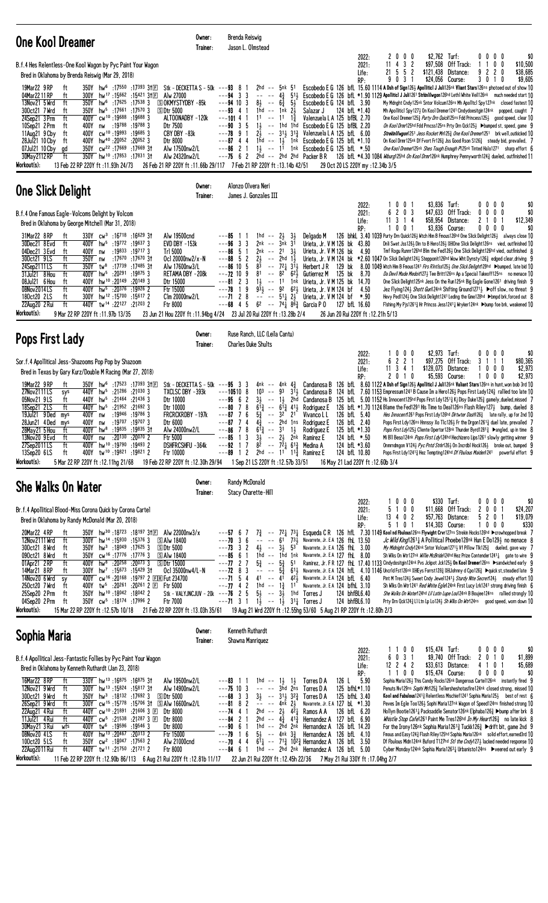| One Kool Dreamer                                                                                                                                                                                                                                                                                                                                                                                                                                                                                                                                                                                                                                                                                                                                                                                                                                                                                                                                                                                                                                                                    | Owner:<br>Trainer:              | Brenda Reiswig<br>Jason L. Olmstead                                                                                                                                                                                                                                                                                                                                                                                                                                                                                               |                                                                                                                                                                                                          |                                                                                                                                                                                                                                                                                                                                                                                                                                           |                                                                                                                                                        |                                                                                          |                                                                                                                                                       |                                                                                                                                                                                                                                                                                                                                                                                                                                                                                                                                                                                                                                                                                                                                                                                                                                                                                                                                                                                                                                                                                                                                         |
|-------------------------------------------------------------------------------------------------------------------------------------------------------------------------------------------------------------------------------------------------------------------------------------------------------------------------------------------------------------------------------------------------------------------------------------------------------------------------------------------------------------------------------------------------------------------------------------------------------------------------------------------------------------------------------------------------------------------------------------------------------------------------------------------------------------------------------------------------------------------------------------------------------------------------------------------------------------------------------------------------------------------------------------------------------------------------------------|---------------------------------|-----------------------------------------------------------------------------------------------------------------------------------------------------------------------------------------------------------------------------------------------------------------------------------------------------------------------------------------------------------------------------------------------------------------------------------------------------------------------------------------------------------------------------------|----------------------------------------------------------------------------------------------------------------------------------------------------------------------------------------------------------|-------------------------------------------------------------------------------------------------------------------------------------------------------------------------------------------------------------------------------------------------------------------------------------------------------------------------------------------------------------------------------------------------------------------------------------------|--------------------------------------------------------------------------------------------------------------------------------------------------------|------------------------------------------------------------------------------------------|-------------------------------------------------------------------------------------------------------------------------------------------------------|-----------------------------------------------------------------------------------------------------------------------------------------------------------------------------------------------------------------------------------------------------------------------------------------------------------------------------------------------------------------------------------------------------------------------------------------------------------------------------------------------------------------------------------------------------------------------------------------------------------------------------------------------------------------------------------------------------------------------------------------------------------------------------------------------------------------------------------------------------------------------------------------------------------------------------------------------------------------------------------------------------------------------------------------------------------------------------------------------------------------------------------------|
| B.f.4 Hes Relentless-One Kool Wagon by Pyc Paint Your Wagon<br>Bred in Oklahoma by Brenda Reiswig (Mar 29, 2018)<br>19Mar22 9 RP<br>ft<br>$350Y$ hw <sup>6</sup> :17550 :17393 3†EI<br>Alw 27000<br>04Mar2211RP<br>ft<br>300Y hw <sup>17</sup> :15662 :15421 31E<br>13Nov21 5 Wrd<br>ft<br>$350Y$ hw <sup>6</sup> :17625 :17538 3<br><b>SOKMYSTYDBY-85k</b><br>300ct21 7 Wrd<br>$hw^5$ :17661<br>:175703<br>350Y<br>5Dtr 5000<br>ft<br>400Y cw <sup>10</sup> :19688:196883<br>ALTOONADBY -120k<br>24Sep21 3 Prm<br>ft<br>10Sep21 2 Prm<br>:19788 :19788 3<br>Dtr 7500<br>ft<br>400Y<br>nw<br>cw <sup>10</sup> :19993 :19685 3<br>CBY DBY -83k<br>11Aug21 9 Cby<br>ft<br>400Y<br>hw <sup>40</sup> :20052<br>28Jul21 10 Cby<br>ft<br>:200523<br>Dtr 8000<br>400Y<br>07Jul21 10 Cby<br>cw <sup>22</sup> :17669:1766931<br>Alw 17500nw2/L<br>gd<br>350Y<br>350Y hw <sup>10</sup> :17853 :17831 31<br>30May 2112 RP<br>ft<br>Alw 24320nw2/L<br>Workout(s):<br>13 Feb 22 RP 220Y ft: 11.93h 24/73                                                                                         | Stk - DECKETTA S - 50k $--93$ 8 | 2hd -- 5nk 51<br>$---94$ 3 3<br>$\sim$ $-$<br>$\sim$ $-$<br>8 <sub>3</sub><br>$---94$ 10 3<br>$\sim$ $\sim$<br>---93 4<br>1hd<br>$\sim$ $-$<br>11<br>$---101$ 4 1<br>$\sim$ $-$<br>$1\frac{1}{2}$<br>$---90$ 3 5<br>$\sim$ $-$<br>21<br>---78 9 1<br>$---87$ 4 4<br>1hd<br>$\sim$ $\sim$<br>$1\frac{1}{2}$ -- 11<br>---86<br>$\mathbf{2}$<br>$---75$ 6 2<br>2hd<br>26 Feb 21 RP 220Y ft: 11.66b 29/117 7 Feb 21 RP 220Y ft: 13.14b 42/51                                                                                          | $51\frac{1}{2}$<br>$4\frac{3}{4}$<br>$6\frac{3}{4}$<br>54<br>$2\overline{1}$<br>1nk<br>$1\frac{3}{4}$<br>11<br>1hd 1hd                                                                                   | Escobedo E G 124 bfL 3.90<br>Salazar J<br>Valenzuela L A 125 bfBL 2.70<br>Escobedo E G 125 bfBL 2.20<br>$-$ 31 $31\frac{3}{4}$ Valenzuela LA 125 bfL 6.00<br>1} 1nk Escobedo E G 125 bfL *1.10<br>1nk Escobedo E G 125 bfL $*.50$<br>-- 2hd 2hd Packer B R                                                                                                                                                                                | 2022:<br>2021:<br>Life:<br>RP:<br>124 bfL *1.40<br>29 Oct 20 LS 220Y my :12.34b 3/5                                                                    | $0\,$ 0 $\,$ 0 $\,$<br>2<br>$11$ 4 3 2<br>21<br>-5<br>5<br>$\overline{c}$<br>3<br>9<br>0 | \$2.762 $Turf:$<br>\$97,508<br>Off Track:<br>\$121,438<br>Distance:<br>\$24,056 Course:                                                               | $0\,0\,0\,0$<br>\$0<br>0 <sub>0</sub><br>\$10,500<br>-1<br>9<br>$\overline{c}$<br>$\mathbf{2}$<br>\$38,685<br>0<br>30<br>\$9,605<br>10<br>Escobedo E G 126 bfL 15.60 1114 A Dsh of Sign1263 Apolliticl J Juli126nk Vliant Stars126ns photoed out of show 10<br>Escobedo E G 126 bfL *1.90 1129 Apolliticl J Juli1261 Strkinlilwgon126hd Lethl White Veil126nk much needed start 10<br>My Mdnght Cndy125nk Sntor Volcum126ns Mh Apolltcl Spy127nk closed fastest 10<br>Mh Apolliticl Spy1273 On Kool Dremer1241 Cindydoesitgin124nk popped, caught 7<br>One Kool Dremer1253 Purty Drn Quick125ns Fdd Princess1253 good speed, clear 10<br>On Kool Drmr125hd Fdd Prncss125ns Prty Drn Qck1253 >bumped st, speed, game 9<br>Strekinlilwgon1251 Jess Rocket Mn1253 One Kool Dremer1251 brk well, outkicked 10<br>On Kool Drmr125nk Df Fvort Fr1263 Jss Good Rson S1263 steady bid, prevailed, 7<br>One Kool Dremer125nk Shes Tough Enough P125nk Tinted Halo1271 sharp effort 6<br>126 bfL *4.30 1084 Wiburg125hd On Kool Drmr126nk Humphrey Pennyworth1243 dueled, outfinished 11                                                          |
| <b>One Slick Delight</b>                                                                                                                                                                                                                                                                                                                                                                                                                                                                                                                                                                                                                                                                                                                                                                                                                                                                                                                                                                                                                                                            | Owner:<br>Trainer:              | Alonzo Olvera Neri<br>James J. Gonzales III                                                                                                                                                                                                                                                                                                                                                                                                                                                                                       |                                                                                                                                                                                                          |                                                                                                                                                                                                                                                                                                                                                                                                                                           |                                                                                                                                                        |                                                                                          |                                                                                                                                                       |                                                                                                                                                                                                                                                                                                                                                                                                                                                                                                                                                                                                                                                                                                                                                                                                                                                                                                                                                                                                                                                                                                                                         |
| B.f.4 One Famous Eagle-Volcoms Delight by Volcom<br>Bred in Oklahoma by George Mitchell (Mar 31, 2018)<br>31Mar22 8RP<br>330Y cw <sup>3</sup> :16718 :16629 31<br>Alw 19500cnd<br>ft<br>ft<br>400Y hw <sup>5</sup> :19772 :19637 3<br>30Dec21 8 Evd<br>$EVD$ DBY $-153k$<br>04Dec21 3 Evd<br>:19833 :19717 3<br>Trl 5000<br>ft<br>400Y<br>nw<br>300ct21 9LS<br>ft<br>:17670 :17670 31<br>350Y<br>nw<br>Oc1 20000nw2/x-N<br>:17739 :17485 31<br>24Sep2111LS<br>ft<br>350Y tw <sup>8</sup><br>Alw 17600nw3/L<br>RETAMA DBY -208k<br>31Jul21 8 Hou<br>ft<br>19875 19875 19875 19875<br>08Jul21 6 Hou<br>hw <sup>10</sup> :20 <sup>149</sup> :20 <sup>149</sup> 3<br>ft<br>400Y<br>Dtr 15000<br>hw <sup>5</sup> :20 <sup>376</sup> :19926 2<br>ft<br>400Y<br>Ftr 15000<br>08Nov2014LS<br>hw <sup>12</sup> :15700:15617 2<br>180ct20 2LS<br>ft<br>Clm 20000nw2/L<br>300Y<br>ft<br>440Y tw <sup>14</sup> :22127 :21203 2<br>22Aug20 2 Rui<br>Ftr 8000<br>Workout(s):<br>9 Mar 22 RP 220Y ft : 11.97b 13/35                                                                                |                                 | 1hd<br>---85<br>$\sim$ $\sim$<br>33<br>---96<br>2nk<br>$\sim$ $-$<br>---86<br>5<br>2nk -- 21<br>$---88$ 5 2<br>2 <sub>3</sub><br>5<br>83<br>---86 10<br>$\sim$ $-$<br>81<br>$---72$ 10 9<br>$1\frac{1}{2}$<br>$---8123$<br>9<br>$9\overline{3}$ -- 92<br>---78<br>$\overline{1}$<br>$---71$ 2 8<br>$-- -51\frac{1}{4}$ $2\frac{1}{2}$<br>$--68$ 4 5<br>23 Jun 21 Hou 220Y ft : 11.94bg 4/24 23 Jul 20 Rui 220Y ft : 13.28b 2/4                                                                                                    | $2\frac{1}{2}$ $3\frac{1}{2}$<br>3nk 31<br>$3\frac{1}{2}$<br>$--$ 2hd $1\frac{1}{2}$<br>$72\frac{1}{4}$ $3\overline{1}\frac{1}{2}$<br>$- - 82$ 62 $\frac{1}{2}$<br>$- - 11$<br>1nk<br>$6^{2}\frac{1}{2}$ | Delgado M<br>Urieta, Jr. V M 126<br>Urieta, Jr. V M 126<br>Herbert JR<br>Gutierrez M<br>Urieta, Jr. V M 125 bk 14.70<br>Urieta, Jr. V M 124 bf<br>Urieta, Jr. V M 124 bf *.90<br>6 <sup>2</sup> -- 7 <sup>4</sup> $\frac{1}{4}$ 8 <sup><math>\bar{6}</math></sup> $\frac{3}{4}$ Garcia P 0                                                                                                                                                | 2022:<br>2021:<br>Life:<br>RP:<br>bk 43.80<br>bk<br>4.90<br>129<br>bk<br>125 bk<br>8.70<br>4.50<br>127 bfL 16.60<br>26 Jun 20 Rui 220Y ft: 12.21h 5/13 | 1001<br>$2 \t0 \t3$<br>6<br>11 3<br>14<br>0<br>0                                         | \$3,836 Turf:<br>\$47,633<br>Off Track:<br>\$58,954<br>Distance:<br>\$3,836 Course:                                                                   | $0\,0\,0\,0$<br>\$0<br>$0\quad 0$<br>\$0<br>0<br>0<br>21<br>0 <sub>1</sub><br>\$12,349<br>0 <sub>0</sub><br>\$0<br>0<br>0<br>126 bhkl. 3.40 1039 Purty Drn Quick126} Wtch Him B Fmous126hd One Slick Delight126} always close 10<br>Dnli Swet Jss1263 Din to B Hero1263 DHOne Slick Delight126ns vied, outfinished 10<br>Tmf Rogu Runnr126hd Blm the Fed1263 One Slick Delight126hd vied, outfinished 8<br>Urieta, Jr. V M 124 bk *2.60 1047 On Slick Delight124 $\frac{1}{2}$ Stepponit126hd Wow Wht Dynsty126 $\frac{3}{4}$ edged clear, driving 9<br>8.00 1049 Witch Him B Fmous1241 Firs RIntlss125} One Slick Delight129hd ▶bumped, late bid 10<br>Da Devil Made Medoit1271 Tee Britt126ns Ap a Special Takeoff125ns no menace 10<br>One Slick Delight125nk Jess On the Run125nk Big Eagle Gone1261 driving finish 9<br>Jez Flying1243 Shott Gun124nk Shifting Ground12713 ▶ off slow, no threat 9<br>Hevy Ped1124} One Slick Delight1241 Leding the Gme128hd ▶bmpd brk, forced out 8<br>Fishing My Pis1261 <sup>3</sup> Hr Princss Jess1241 <sup>1</sup> Wryker124nk ▶bump foe brk, weakened 10                                   |
| Pops First Lady                                                                                                                                                                                                                                                                                                                                                                                                                                                                                                                                                                                                                                                                                                                                                                                                                                                                                                                                                                                                                                                                     | Owner:<br>Trainer:              | Ruse Ranch, LLC (Leila Cantu)<br><b>Charles Duke Shults</b>                                                                                                                                                                                                                                                                                                                                                                                                                                                                       |                                                                                                                                                                                                          |                                                                                                                                                                                                                                                                                                                                                                                                                                           |                                                                                                                                                        |                                                                                          |                                                                                                                                                       |                                                                                                                                                                                                                                                                                                                                                                                                                                                                                                                                                                                                                                                                                                                                                                                                                                                                                                                                                                                                                                                                                                                                         |
| Sor.f.4 Apollitical Jess-Shazooms Pop Pop by Shazoom<br>Bred in Texas by Gary Kurz/Double M Racing (Mar 27, 2018)<br>19Mar22 9 RP<br>ft<br>350Y hw <sup>6</sup> :17523 :17393 31ED<br>27Nov2111LS<br>440Y hw <sup>5</sup> :21286 :21030 3<br>TXCLSC DBY -393k<br>sys<br>440Y hw <sup>5</sup> :21464 :21436 3<br>05Nov21 9LS<br>ft<br>Dtr 10000<br>440Y hw <sup>5</sup><br>:21952<br>:216923<br>Dtr 10000<br>18Sep21 2LS<br>ft<br>:19946<br>19Jul21 9Ded<br>:19786 3<br>FRCRCKRDBY-197k<br>400Y nw<br>mys<br>:19707 :19707 3<br>28Jun21 4Ded<br>400Y<br>Dtr 6000<br>mys<br>nw<br>28May21 5 Hou<br>hw <sup>8</sup> :19835 :19835 31<br>Alw 24000nw2/L<br>ft<br>400Y<br>13Nov20 9 Evd<br>ft<br>:20130 :20070 2<br>Ftr 5000<br>400Y<br>nw<br>400Y hw <sup>10</sup> :19790:194932<br>ft<br>DSHFRCSHFU-364k<br>27Sep2011LS<br>tw <sup>10</sup> :19821:198212<br>13Sep20 6LS<br>ft<br>400Y<br>Ftr 10000<br>Workout(s):<br>19 Feb 22 RP 220Y ft : 12.30h 29/94<br>5 Mar 22 RP 220Y ft :12.11hg 21/68                                                                                        |                                 | Stk - DECKETTA S - 50k --- $95 \quad 3 \quad 3$<br>$---10510$ 8<br>103<br>$---9562$<br>3 <sub>3</sub><br>$ -$<br>$---80$ 7 8<br>$6^{13}$<br>$\sim$ $-$<br>$--87$ 7 6<br>$5\frac{3}{4}$<br>$---87$ 74<br>43<br>$---86$<br>8<br>$6^{13}$ -- 31 $1^{1}_{2}$<br>1 <sub>3</sub><br>---85<br>$---92$ 1 7<br>$---89$ 1 2 2hd $---11^7$ 11 <sup>3</sup> / <sub>4</sub> Ramirez E<br>1 Sep 21 LS 220Y ft: 12.57b 33/51                                                                                                                     | 4nk -- 4nk 43<br>$1\frac{1}{2}$<br>$6^{13}$ 411<br>$--$ 32 21                                                                                                                                            | 2hd Candanosa B<br>Rodriguez E<br>Vivanco L L<br>-- 2hd 1ns Rodriquez E 126 bfL 2.40<br>Rodriguez E<br>$3\frac{1}{2}$ -- $2\frac{1}{2}$ 2nk Ramirez E<br>$8^{\overline{2}}$ -- $7^{\overline{2}}\frac{1}{4}$ 6 <sup>1</sup> $\frac{3}{4}$ Medina A                                                                                                                                                                                        | 2022:<br>2021:<br>Life:<br>RP:<br>126 bfL 5.40<br>125 bfL *1.30<br>124 bfL *.50<br>124 bfL *3.60<br>124 bfL 10.80<br>16 May 21 Lad 220Y ft: 12.60b 3/4 | 0 <sub>0</sub><br>$\mathbf 0$<br>221<br>6<br>3<br>41<br>11<br>2010                       | \$2,973 Turf:<br>\$97,275<br>Off Track:<br>\$128,073<br>Distance:<br>\$5,593 Course:<br>Pops First Ldy 12413 Hez Tempting 124hd Df Fbulous Maiden1241 | $0\ 0\ 0$<br>0<br>\$0<br>3<br>1 1<br>\$80,365<br>\$2,973<br>0<br>$0\quad 0$<br>$0\ 0\ 0$<br>\$2,973<br>1<br>Candanosa B 126 bfl 8.60 1122 A Dsh of Sign1263 Apolliticl J Juli126nk Valiant Stars126ns in hunt, won bob 3rd 10<br>$-$ 93 311 Candanosa B 124 bfl 7.60 1153 Empressum1241 B Cause Im a Hero1261 Pops First Lady124 $\frac{3}{4}$ rallied too late 10<br>125 bfl 5.00 1152 Hs Innocent125hd Pops First Ldy12513 Kj Disy Duke1253 gamely, dueled, missed 7<br>126 bfL *1.70 1124 Blame the Fed1291 His Time to Deal126ns Flash Riley127} bump, dueled 8<br>Hes Innocent1261 Pops First Ldy126hd Dirtwter Dash126 <sup>3</sup> late rally, up for 2nd 10<br>Pops First Ldy126ns Hnnssy Xo Tlc1261 Fr the Drgon1261 $\frac{3}{4}$ duel late, prevailed 7<br>Pops First Ldy125½ Cliente Opertor128nk Thunder Byrd1281½ ▶angled, up in time 8<br>Mi Bll Beso124nk Pops First Ldy124hd Hechizero Lips1261 slowly getting winner 9<br>Onmrndmgon V1243 Pyc Pntd Strkr1263 On Incrdbl Hock1263 broke out, bumped 9<br>powerful effort 9                                                                                            |
| <b>She Walks On Water</b>                                                                                                                                                                                                                                                                                                                                                                                                                                                                                                                                                                                                                                                                                                                                                                                                                                                                                                                                                                                                                                                           | Owner:<br>Trainer:              | Randy McDonald<br>Stacy Charette-Hill                                                                                                                                                                                                                                                                                                                                                                                                                                                                                             |                                                                                                                                                                                                          |                                                                                                                                                                                                                                                                                                                                                                                                                                           |                                                                                                                                                        |                                                                                          |                                                                                                                                                       |                                                                                                                                                                                                                                                                                                                                                                                                                                                                                                                                                                                                                                                                                                                                                                                                                                                                                                                                                                                                                                                                                                                                         |
| Br.f.4 Apollitical Blood-Miss Corona Quick by Corona Cartel<br>Bred in Oklahoma by Randy McDonald (Mar 20, 2018)<br>350Y hw <sup>30</sup> :18723 :18197 31El Alw 22000nw3/x<br>20Mar22 4RP<br>ft<br><b>⑤ Alw 18400</b><br>12Nov2111 Wrd<br>ft<br>$300Y$ hw <sup>14</sup> :15930 :15376 3<br>300ct21 8 Wrd<br>$350Y$ hw <sup>3</sup> :18049 :17625 3<br><b>SDtr 5000</b><br>ft<br>cw <sup>16</sup> :17776:177763<br>090ct21 8 Wrd<br>ft<br>350Y<br>⑤ Alw 18400<br>01Apr21 2RP<br>ft<br>hw <sup>8</sup> :20 <sup>258</sup> :20 <sup>073</sup> 3<br>SDtr 15000<br>400Y<br>14Mar21 8RP<br>$hw^7$ :15673 :15429 31<br>Ocl 35000nw4/L-N<br>ft<br>300Y<br>400Y cw <sup>16</sup> :20 <sup>168</sup> :19797 2 ER Fut 234700<br>14Nov20 6 Wrd<br>sy<br>250ct20 7 Wrd<br>ft<br>tw <sup>5</sup> :20 <sup>261</sup> :20 <sup>261</sup> 2 El Ftr 5000<br>400Y<br>25Sep20 2 Prm<br>350Y hw <sup>10</sup> :18042:180422<br>ft<br>350Y cw <sup>5</sup> :18174 :17996 2<br>Ftr 7000<br>04Sep20 2 Prm<br>ft<br>Workout(s):<br>21 Feb 22 RP 220Y ft: 13.03h 35/61<br>15 Mar 22 RP 220Y ft: 12.57b 10/18 |                                 | $---57$ 6 7<br>$---70$ 3 6<br>$\sim$ $-$<br>$\sim$ $-$<br>$---73$ 3 2<br>$4\frac{1}{2}$ -- $3\frac{1}{2}$ 53<br>$---85$ 6 1<br>$---77227$<br>$5\frac{3}{4}$ -- $5\frac{3}{4}$<br>$---72$ 8 3<br>$- - - 5\frac{3}{4}$<br>$41 - - 41$<br>$--71$ 5 4<br>$---77$ 4 2<br>1hd -- $1\frac{3}{4}$<br>Stk - VALYJNCJUV - 20 $k$ ---76 2 5<br>$5\frac{1}{2}$ -- $3\frac{1}{2}$<br>---71 3 1 $1\frac{1}{2}$ -- $1\frac{1}{2}$ 3 <sup>1</sup> / <sub>4</sub> Torres J<br>19 Aug 21 Wrd 220Y ft :12.55hg 53/60 5 Aug 21 RP 220Y ft :12.80h 2/3 | $61 \quad 73\frac{1}{2}$<br>5 <sup>1</sup><br>11                                                                                                                                                         | Navarrete, Jr. E A 126 fhl. 13.50<br>Navarrete, Jr. E A 126 fhl. 3.00<br>1hd -- 1hd 1nk Navarrete, Jr. EA 127 fhl. 8.00<br>421 Navarrete, Jr. E A 124 bfl 6.40<br>Navarrete, Jr. E A 124 bfhl. 3.10<br>1hd Torres J                                                                                                                                                                                                                       | 2022:<br>2021:<br>Life:<br>RP:<br>124 bhfBL6.40<br>124 bhfBL6.10                                                                                       | 1000<br>5<br>100<br>$13$ 4 0 2<br>5 1 0 1                                                | \$330 Turf:<br>\$11,668<br>Off Track:<br>\$57,763 Distance:<br>\$14,303 Course:                                                                       | $0\ 0\ 0\ 0$<br>\$0<br>\$24,207<br>$0 \t 0 \t 1$<br>$\mathbf{2}$<br>5<br>2 0 1<br>\$19,079<br>\$330<br>0<br>00<br>$7\frac{3}{2}$ -- $72\frac{1}{4}$ $73\frac{1}{4}$ Esqueda CR 126 hfl 7.30 1149 Kool nd Fbulous126ns Flywight Crvr127ns Strekin Hocks126hd >crowhopped break 7<br><i>Jc Wild King</i> 1261 <sub>4</sub> A Pollitical Phoebe128nk Hun E Do129 <sub>3</sub> no menace 8<br>My Midnight Cndy124nk Sntor Volcum12713 Vf Pillow Tlk1253 dueled, gave way 7<br>Sh Wiks On Wtr127nk <i>Willie McBride</i> 124hd Hez Prize Contender1241 <sub>4</sub> gate to wire 9<br>Ramirez, Jr. FR 127 fhl 17.40 1133 Cindydositgin124nk Pvs Jckpot Jck125} On Kool Dremer126ns >sandwiched early 9<br>Pint M Tres124 <sup>1</sup> / <sub>2</sub> Sweet Cndy Jewel1241 <sup>1</sup> / <sub>2</sub> Sturdy Nite Secret124 <sup>1</sup> / <sub>2</sub> steady effort 10<br>Sh Wiks On Wtr1241 Red White Egle124nk First Lucy Lrk1241 strong driving finish 6<br>She Walks On Water124hd Lil Latin Lupe Lou124nk B Boujee124ns rallied strongly 10<br>Prty Drn Qck124½ L1 Ltn Lp Lo124½ <i>Sh Wiks On Wtr</i> 124ns good speed, worn down 10 |
| Sophia Maria                                                                                                                                                                                                                                                                                                                                                                                                                                                                                                                                                                                                                                                                                                                                                                                                                                                                                                                                                                                                                                                                        | Owner:<br>Trainer:              | Kenneth Ruthardt<br>Shawna Manriquez                                                                                                                                                                                                                                                                                                                                                                                                                                                                                              |                                                                                                                                                                                                          |                                                                                                                                                                                                                                                                                                                                                                                                                                           |                                                                                                                                                        |                                                                                          |                                                                                                                                                       |                                                                                                                                                                                                                                                                                                                                                                                                                                                                                                                                                                                                                                                                                                                                                                                                                                                                                                                                                                                                                                                                                                                                         |
| B.f.4 Apollitical Jess-Fantastic Follies by Pyc Paint Your Wagon<br>Bred in Oklahoma by Kenneth Ruthardt (Jan 23, 2018)<br>16Mar22 8 RP<br>330Y hw <sup>13</sup> :16875:1687531<br>ft<br>Alw 19500nw2/L<br>12Nov21 9 Wrd<br>ft<br>300Y hw <sup>13</sup> :15824 :15817 31<br>Alw 14900nw2/L<br>300ct21 9 Wrd<br>$350Y$ hw <sup>3</sup> :18132 :17692 3<br>5Dtr 5000<br>ft<br>26Sep21 9 Wrd<br>ft<br>300Y cw <sup>15</sup> :15778:15706 31 SAlw 16600nw2/L<br>ft<br>440Y cw <sup>10</sup> :21891 :21606 3 F<br>22Aug21 4 Rui<br>Dtr 8000<br>ft<br>440Y cw <sup>5</sup> :21538 :21287 3 E<br>Dtr 8000<br>11Jul21 4 Rui<br>30May21 3 Rui<br>400Y tw <sup>6</sup> :19596 :19546 3<br>wfs<br>Dtr 8000<br>400Y hw <sup>13</sup> :20467 :20313 2<br>08Nov20 4LS<br>ft<br>Ftr 15000<br>100ct20 5LS<br>350Y cw <sup>2</sup> :18047 :17563 2<br>Alw 21000cnd<br>ft<br>22Aug2011 Rui<br>ft<br>21721 tw <sup>11</sup> :21750 :21721<br>Ftr 8000<br>Workout(s):<br>11 Feb 22 RP 220Y ft: 12.90b 86/113 6 Aug 21 Rui 220Y ft: 12.81b 11/17                                                         |                                 | $1hd - 13 13$<br>---83 1 1<br>$---75$ 10 3<br>$---68$ 3 3<br>$   4n\bar{k}$ $2\frac{1}{2}$<br>$---81$ 8 2<br>$---74$ 4 1<br>$---84$ 2 1<br>$---90$ 6 1<br>$---79$ 1 6<br>$---70$ 4 4<br>$---84$ 6 1<br>22 Jun 21 Rui 220Y ft: 12.45h 22/36 7 May 21 Rui 330Y ft: 17.04hg 2/7                                                                                                                                                                                                                                                      | $3\frac{1}{2}$ -- $31\frac{1}{2}$ $32\frac{3}{4}$<br>$5\frac{1}{2}$ -- 4nk $3\frac{3}{4}$                                                                                                                | Torres D A<br>$---$ 3hd 2ns Torres D A<br>Torres D A<br>Navarrete, Jr. E A 127 bL *1.30<br>2hd -- $2\frac{1}{2}$ 4 <sup>2</sup> $\frac{1}{4}$ Ramos A A<br>2hd -- $4\frac{3}{4}$ $41\frac{3}{4}$ Hernandez A 127 bfl 6.90<br>1hd -- 2hd 2nk Hernandez A 126 bfL 14.20<br>Hernandez A 126 bfL 4.10<br>$61\frac{1}{4}$ -- $71\frac{3}{4}$ 10 <sup>2</sup> $\frac{3}{4}$ Hernandez A 126 bfl 3.50<br>1hd -- 2hd 2nk Hernandez A 126 bfL 5.00 | 2022:<br>2021:<br>Life:<br>RP:<br>126 L<br>5.90<br>125 bfhL*1.10<br>125 bfhL 3.40<br>126 bfL 6.20                                                      | 1100<br>031<br>6<br>$12$ 2 4 2<br>1100                                                   | \$15,474 Turf:<br>$$9,740$ Off Track:<br>\$33,613 Distance:<br>\$15,474 Course:                                                                       | $0\,0\,0\,0$<br>\$0<br>2010<br>\$1,899<br>\$5,689<br>4 1 0 1<br>$0\,0\,0\,0$<br>\$0<br>Sophia Maria126} This Candy Rocks126nk Dangerous Cartel126nk instantly fired 9<br>Penuts Nv129ns Sophi Mr1253 Tellersheshotasfire124nk closed strong, missed 10<br>Kool and Fabulous1241 $\frac{3}{4}$ Relentless Mischief1241 Sophia Maria125 $\frac{1}{2}$ best of rest 6<br>Peves Im Egle Too1263 Sophi Maria127nk Wagon of Speed124ns finished strong 10<br>Hollyn Bootie12611 Packsaddle Senator126nk Elphaba1263 ▶bump after brk 8<br><i>Whistle Stop Cafe</i> 1261 Paint Me Tres126hd <i>In My Heart</i> 1263 no late kick 8<br>For the Irony 126nk Sophia Maria 1261 <sup>3</sup> Tuckk126 <sup>3</sup> Ddrift bit, game 2nd 9<br>Fmous and Easy124} Flash Riley125hd Sophia Maria126nk solid effort, earned3rd 10<br>Df Fbulous Midn124nk Buford T127hd Stl the Cndy1273 lacked needed response 10<br>Cyber Monday124 <sup>nk</sup> Sophia Maria126 <sup>3</sup> Urbanisto124 <sup>ns</sup> ▶veered out early 9                                                                                                                         |